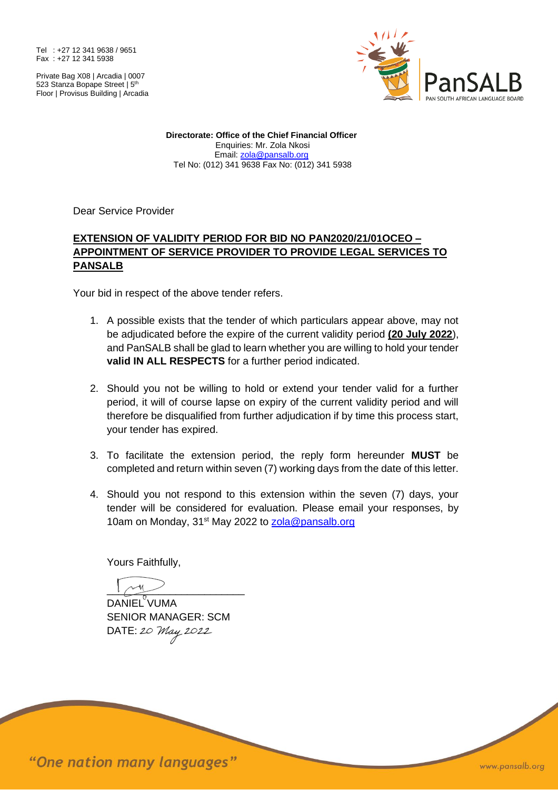Tel : +27 12 341 9638 / 9651 Fax : +27 12 341 5938

Private Bag X08 | Arcadia | 0007 523 Stanza Bopape Street | 5<sup>th</sup> Floor | Provisus Building | Arcadia



**Directorate: Office of the Chief Financial Officer** Enquiries: Mr. Zola Nkosi Email: [zola@pansalb.org](mailto:zola@pansalb.org) Tel No: (012) 341 9638 Fax No: (012) 341 5938

Dear Service Provider

## **EXTENSION OF VALIDITY PERIOD FOR BID NO PAN2020/21/01OCEO – APPOINTMENT OF SERVICE PROVIDER TO PROVIDE LEGAL SERVICES TO PANSALB**

Your bid in respect of the above tender refers.

- 1. A possible exists that the tender of which particulars appear above, may not be adjudicated before the expire of the current validity period **(20 July 2022**), and PanSALB shall be glad to learn whether you are willing to hold your tender **valid IN ALL RESPECTS** for a further period indicated.
- 2. Should you not be willing to hold or extend your tender valid for a further period, it will of course lapse on expiry of the current validity period and will therefore be disqualified from further adjudication if by time this process start, your tender has expired.
- 3. To facilitate the extension period, the reply form hereunder **MUST** be completed and return within seven (7) working days from the date of this letter.
- 4. Should you not respond to this extension within the seven (7) days, your tender will be considered for evaluation. Please email your responses, by 10am on Monday, 31<sup>st</sup> May 2022 to [zola@pansalb.org](mailto:zola@pansalb.org)

Yours Faithfully,

 $1\sim 4$ DANIEL<sup>V</sup>UMA SENIOR MANAGER: SCM DATE: 20 May 2022

"One nation many languages"